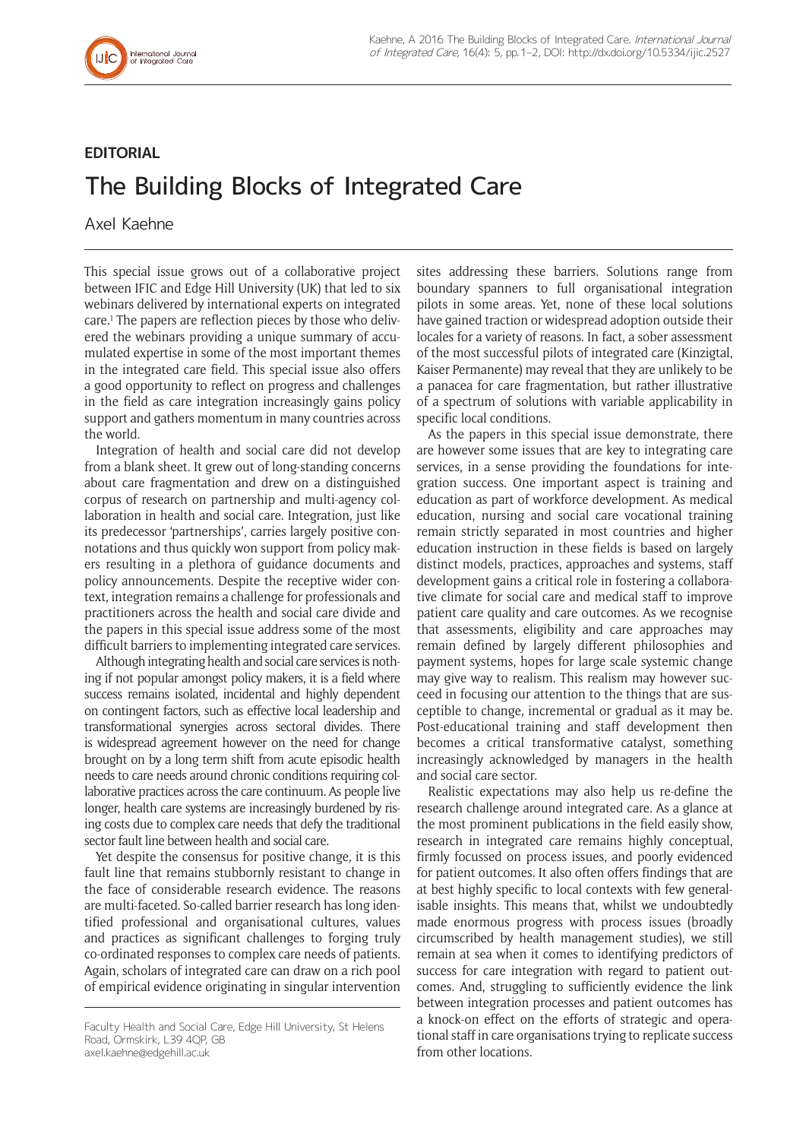

## **EDITORIAL**

## The Building Blocks of Integrated Care

Axel Kaehne

This special issue grows out of a collaborative project between IFIC and Edge Hill University (UK) that led to six webinars delivered by international experts on integrated care.<sup>1</sup> The papers are reflection pieces by those who delivered the webinars providing a unique summary of accumulated expertise in some of the most important themes in the integrated care field. This special issue also offers a good opportunity to reflect on progress and challenges in the field as care integration increasingly gains policy support and gathers momentum in many countries across the world.

Integration of health and social care did not develop from a blank sheet. It grew out of long-standing concerns about care fragmentation and drew on a distinguished corpus of research on partnership and multi-agency collaboration in health and social care. Integration, just like its predecessor 'partnerships', carries largely positive connotations and thus quickly won support from policy makers resulting in a plethora of guidance documents and policy announcements. Despite the receptive wider context, integration remains a challenge for professionals and practitioners across the health and social care divide and the papers in this special issue address some of the most difficult barriers to implementing integrated care services.

Although integrating health and social care services is nothing if not popular amongst policy makers, it is a field where success remains isolated, incidental and highly dependent on contingent factors, such as effective local leadership and transformational synergies across sectoral divides. There is widespread agreement however on the need for change brought on by a long term shift from acute episodic health needs to care needs around chronic conditions requiring collaborative practices across the care continuum. As people live longer, health care systems are increasingly burdened by rising costs due to complex care needs that defy the traditional sector fault line between health and social care.

Yet despite the consensus for positive change, it is this fault line that remains stubbornly resistant to change in the face of considerable research evidence. The reasons are multi-faceted. So-called barrier research has long identified professional and organisational cultures, values and practices as significant challenges to forging truly co-ordinated responses to complex care needs of patients. Again, scholars of integrated care can draw on a rich pool of empirical evidence originating in singular intervention

[axel.kaehne@edgehill.ac.uk](mailto:axel.kaehne@edgehill.ac.uk)

sites addressing these barriers. Solutions range from boundary spanners to full organisational integration pilots in some areas. Yet, none of these local solutions have gained traction or widespread adoption outside their locales for a variety of reasons. In fact, a sober assessment of the most successful pilots of integrated care (Kinzigtal, Kaiser Permanente) may reveal that they are unlikely to be a panacea for care fragmentation, but rather illustrative of a spectrum of solutions with variable applicability in specific local conditions.

As the papers in this special issue demonstrate, there are however some issues that are key to integrating care services, in a sense providing the foundations for integration success. One important aspect is training and education as part of workforce development. As medical education, nursing and social care vocational training remain strictly separated in most countries and higher education instruction in these fields is based on largely distinct models, practices, approaches and systems, staff development gains a critical role in fostering a collaborative climate for social care and medical staff to improve patient care quality and care outcomes. As we recognise that assessments, eligibility and care approaches may remain defined by largely different philosophies and payment systems, hopes for large scale systemic change may give way to realism. This realism may however succeed in focusing our attention to the things that are susceptible to change, incremental or gradual as it may be. Post-educational training and staff development then becomes a critical transformative catalyst, something increasingly acknowledged by managers in the health and social care sector.

Realistic expectations may also help us re-define the research challenge around integrated care. As a glance at the most prominent publications in the field easily show, research in integrated care remains highly conceptual, firmly focussed on process issues, and poorly evidenced for patient outcomes. It also often offers findings that are at best highly specific to local contexts with few generalisable insights. This means that, whilst we undoubtedly made enormous progress with process issues (broadly circumscribed by health management studies), we still remain at sea when it comes to identifying predictors of success for care integration with regard to patient outcomes. And, struggling to sufficiently evidence the link between integration processes and patient outcomes has a knock-on effect on the efforts of strategic and operational staff in care organisations trying to replicate success from other locations.

Faculty Health and Social Care, Edge Hill University, St Helens Road, Ormskirk, L39 4QP, GB